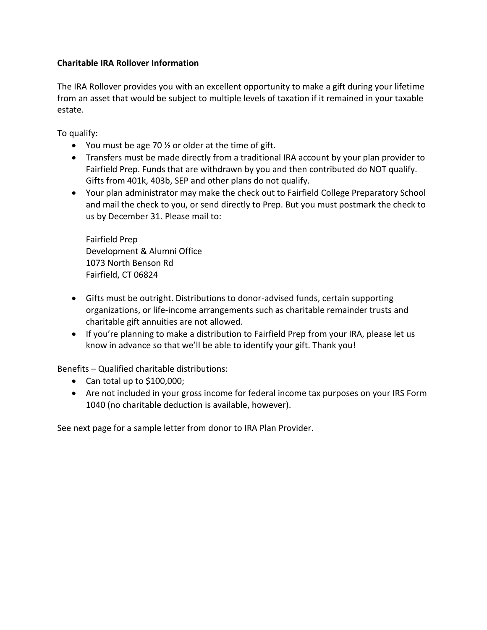## **Charitable IRA Rollover Information**

The IRA Rollover provides you with an excellent opportunity to make a gift during your lifetime from an asset that would be subject to multiple levels of taxation if it remained in your taxable estate.

To qualify:

- You must be age 70  $\frac{1}{2}$  or older at the time of gift.
- Transfers must be made directly from a traditional IRA account by your plan provider to Fairfield Prep. Funds that are withdrawn by you and then contributed do NOT qualify. Gifts from 401k, 403b, SEP and other plans do not qualify.
- Your plan administrator may make the check out to Fairfield College Preparatory School and mail the check to you, or send directly to Prep. But you must postmark the check to us by December 31. Please mail to:

Fairfield Prep Development & Alumni Office 1073 North Benson Rd Fairfield, CT 06824

- Gifts must be outright. Distributions to donor-advised funds, certain supporting organizations, or life-income arrangements such as charitable remainder trusts and charitable gift annuities are not allowed.
- If you're planning to make a distribution to Fairfield Prep from your IRA, please let us know in advance so that we'll be able to identify your gift. Thank you!

Benefits – Qualified charitable distributions:

- Can total up to \$100,000;
- Are not included in your gross income for federal income tax purposes on your IRS Form 1040 (no charitable deduction is available, however).

See next page for a sample letter from donor to IRA Plan Provider.